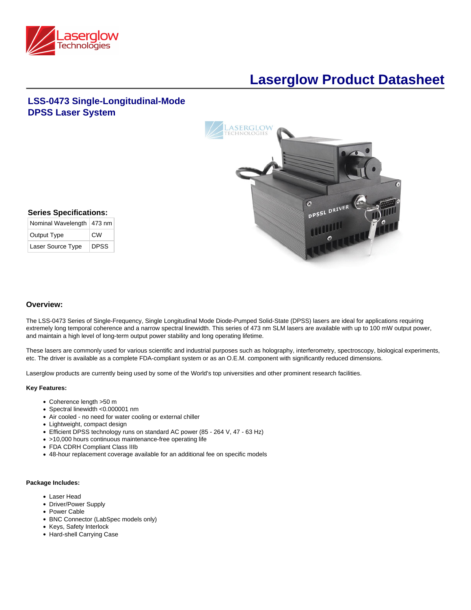

# **Laserglow Product Datasheet**

# **LSS-0473 Single-Longitudinal-Mode DPSS Laser System**



## **Series Specifications:**

| Nominal Wavelength   473 nm |             |
|-----------------------------|-------------|
| Output Type                 | CW          |
| Laser Source Type           | <b>DPSS</b> |

#### **Overview:**

The LSS-0473 Series of Single-Frequency, Single Longitudinal Mode Diode-Pumped Solid-State (DPSS) lasers are ideal for applications requiring extremely long temporal coherence and a narrow spectral linewidth. This series of 473 nm SLM lasers are available with up to 100 mW output power, and maintain a high level of long-term output power stability and long operating lifetime.

These lasers are commonly used for various scientific and industrial purposes such as holography, interferometry, spectroscopy, biological experiments, etc. The driver is available as a complete FDA-compliant system or as an O.E.M. component with significantly reduced dimensions.

Laserglow products are currently being used by some of the World's top universities and other prominent research facilities.

#### **Key Features:**

- Coherence length >50 m
- Spectral linewidth <0.000001 nm
- Air cooled no need for water cooling or external chiller
- Lightweight, compact design
- Efficient DPSS technology runs on standard AC power (85 264 V, 47 63 Hz)
- >10,000 hours continuous maintenance-free operating life
- FDA CDRH Compliant Class IIIb
- 48-hour replacement coverage available for an additional fee on specific models

#### **Package Includes:**

- Laser Head
- Driver/Power Supply
- Power Cable
- BNC Connector (LabSpec models only)
- Keys, Safety Interlock
- Hard-shell Carrying Case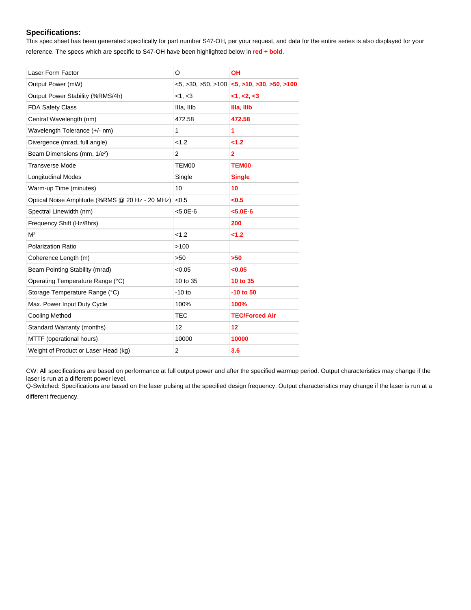#### **Specifications:**

This spec sheet has been generated specifically for part number S47-OH, per your request, and data for the entire series is also displayed for your reference. The specs which are specific to S47-OH have been highlighted below in **red + bold**.

| Laser Form Factor                               | O              | <b>OH</b>                                                             |
|-------------------------------------------------|----------------|-----------------------------------------------------------------------|
| Output Power (mW)                               |                | $<$ 5, $>$ 30, $>$ 50, $>$ 100 $<$ 5, $>$ 10, $>$ 30, $>$ 50, $>$ 100 |
| Output Power Stability (%RMS/4h)                | <1, <3         | <1, <2, <3                                                            |
| <b>FDA Safety Class</b>                         | Illa, IIIb     | Illa IIIb                                                             |
| Central Wavelength (nm)                         | 472.58         | 472.58                                                                |
| Wavelength Tolerance (+/- nm)                   | 1              | 1                                                                     |
| Divergence (mrad, full angle)                   | < 1.2          | < 1.2                                                                 |
| Beam Dimensions (mm, 1/e <sup>2</sup> )         | $\overline{2}$ | $\overline{2}$                                                        |
| <b>Transverse Mode</b>                          | TEM00          | <b>TEM00</b>                                                          |
| <b>Longitudinal Modes</b>                       | Single         | <b>Single</b>                                                         |
| Warm-up Time (minutes)                          | 10             | 10                                                                    |
| Optical Noise Amplitude (%RMS @ 20 Hz - 20 MHz) | < 0.5          | <0.5                                                                  |
| Spectral Linewidth (nm)                         | $< 5.0E - 6$   | $< 5.0E - 6$                                                          |
| Frequency Shift (Hz/8hrs)                       |                | 200                                                                   |
| M <sup>2</sup>                                  | < 1.2          | $2 - 1.2$                                                             |
| Polarization Ratio                              | >100           |                                                                       |
| Coherence Length (m)                            | >50            | >50                                                                   |
| Beam Pointing Stability (mrad)                  | < 0.05         | <0.05                                                                 |
| Operating Temperature Range (°C)                | 10 to 35       | 10 to 35                                                              |
| Storage Temperature Range (°C)                  | $-10$ to       | $-10$ to $50$                                                         |
| Max. Power Input Duty Cycle                     | 100%           | 100%                                                                  |
| <b>Cooling Method</b>                           | <b>TEC</b>     | <b>TEC/Forced Air</b>                                                 |
| Standard Warranty (months)                      | 12             | 12                                                                    |
| MTTF (operational hours)                        | 10000          | 10000                                                                 |
| Weight of Product or Laser Head (kg)            | $\overline{2}$ | 3.6                                                                   |

CW: All specifications are based on performance at full output power and after the specified warmup period. Output characteristics may change if the laser is run at a different power level.

Q-Switched: Specifications are based on the laser pulsing at the specified design frequency. Output characteristics may change if the laser is run at a different frequency.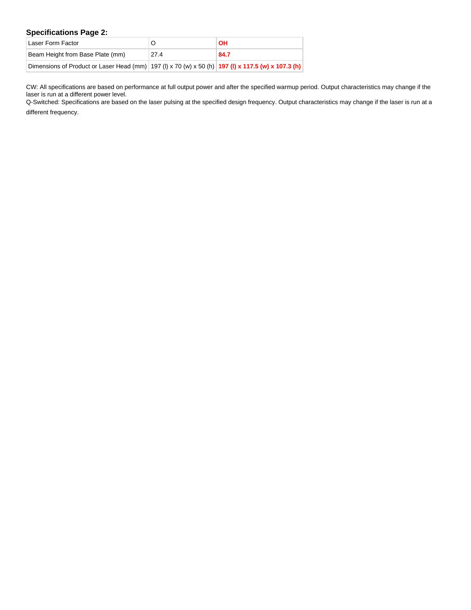## **Specifications Page 2:**

| Laser Form Factor                                                                                  |      | <b>OH</b> |
|----------------------------------------------------------------------------------------------------|------|-----------|
| Beam Height from Base Plate (mm)                                                                   | 27.4 | 84.7      |
| Dimensions of Product or Laser Head (mm) 197 (I) x 70 (w) x 50 (h) 197 (I) x 117.5 (w) x 107.3 (h) |      |           |

CW: All specifications are based on performance at full output power and after the specified warmup period. Output characteristics may change if the laser is run at a different power level.

Q-Switched: Specifications are based on the laser pulsing at the specified design frequency. Output characteristics may change if the laser is run at a

different frequency.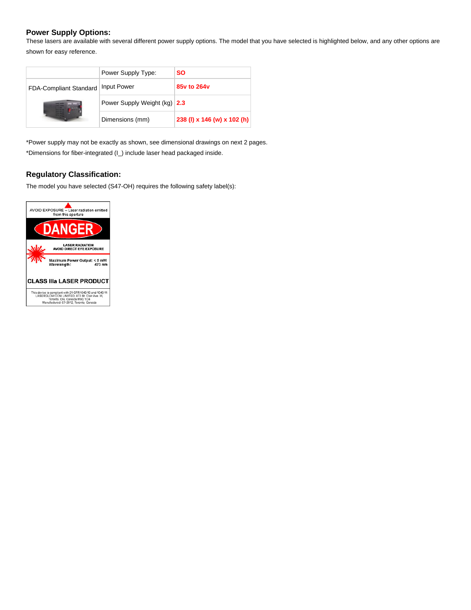## **Power Supply Options:**

These lasers are available with several different power supply options. The model that you have selected is highlighted below, and any other options are shown for easy reference.

|                        | Power Supply Type:           | SO.                         |
|------------------------|------------------------------|-----------------------------|
| FDA-Compliant Standard | <b>Input Power</b>           | 85y to 264y                 |
|                        | Power Supply Weight (kg) 2.3 |                             |
|                        | Dimensions (mm)              | 238 (I) x 146 (w) x 102 (h) |

\*Power supply may not be exactly as shown, see dimensional drawings on next 2 pages. \*Dimensions for fiber-integrated (I\_) include laser head packaged inside.

## **Regulatory Classification:**

The model you have selected (S47-OH) requires the following safety label(s):

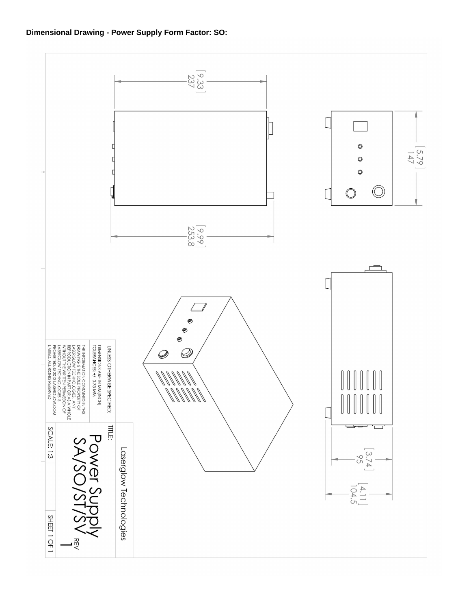